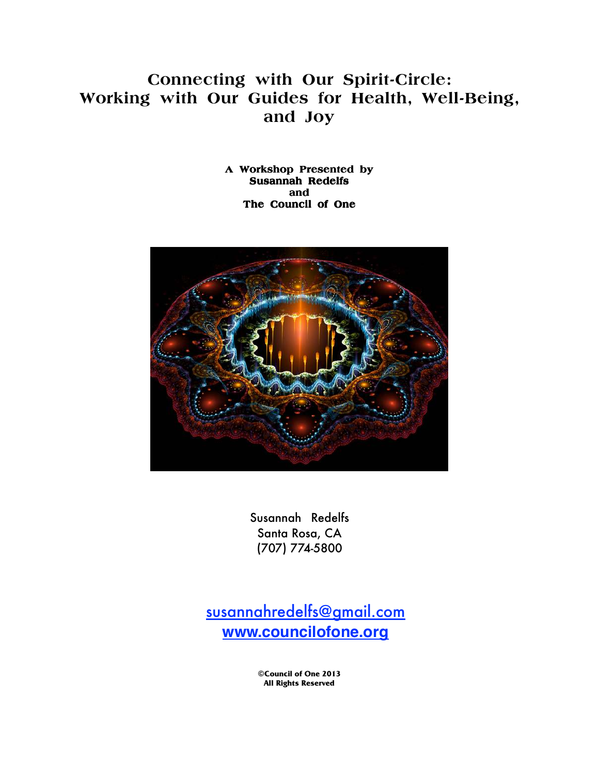# **Connecting with Our Spirit-Circle: Working with Our Guides for Health, Well-Being, and Joy**

**A Workshop Presented by Susannah Redelfs Redelfs and The Council of One** 



 Susannah Redelfs  Santa Rosa, CA  (707) 774-5800

susannahredelfs@gmail.com **www.councilofone.org**

> **©Council of One 2013 All Rights Reserved**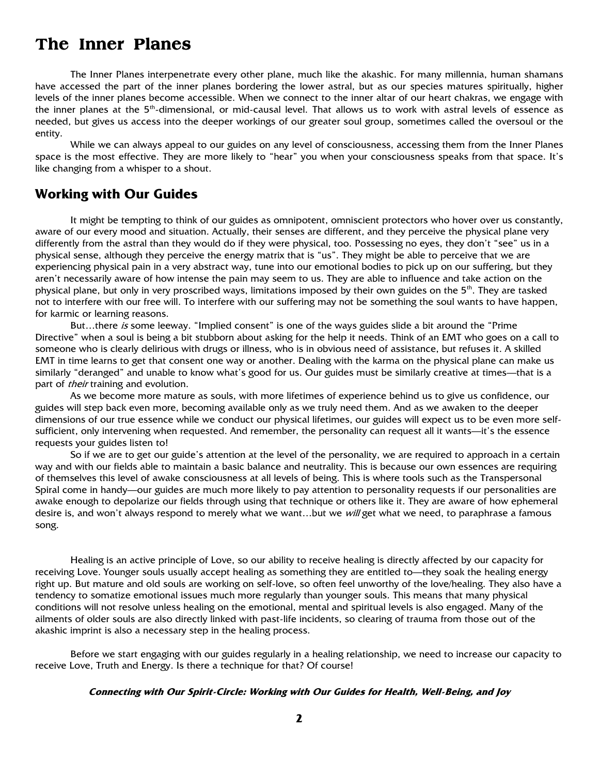# **The Inner Planes**

 The Inner Planes interpenetrate every other plane, much like the akashic. For many millennia, human shamans have accessed the part of the inner planes bordering the lower astral, but as our species matures spiritually, higher levels of the inner planes become accessible. When we connect to the inner altar of our heart chakras, we engage with the inner planes at the 5<sup>th</sup>-dimensional, or mid-causal level. That allows us to work with astral levels of essence as needed, but gives us access into the deeper workings of our greater soul group, sometimes called the oversoul or the entity.

 While we can always appeal to our guides on any level of consciousness, accessing them from the Inner Planes space is the most effective. They are more likely to "hear" you when your consciousness speaks from that space. It's like changing from a whisper to a shout.

## **Working with Our Guides**

 It might be tempting to think of our guides as omnipotent, omniscient protectors who hover over us constantly, aware of our every mood and situation. Actually, their senses are different, and they perceive the physical plane very differently from the astral than they would do if they were physical, too. Possessing no eyes, they don't "see" us in a physical sense, although they perceive the energy matrix that is "us". They might be able to perceive that we are experiencing physical pain in a very abstract way, tune into our emotional bodies to pick up on our suffering, but they aren't necessarily aware of how intense the pain may seem to us. They are able to influence and take action on the physical plane, but only in very proscribed ways, limitations imposed by their own guides on the 5<sup>th</sup>. They are tasked not to interfere with our free will. To interfere with our suffering may not be something the soul wants to have happen, for karmic or learning reasons.

But...there is some leeway. "Implied consent" is one of the ways guides slide a bit around the "Prime Directive" when a soul is being a bit stubborn about asking for the help it needs. Think of an EMT who goes on a call to someone who is clearly delirious with drugs or illness, who is in obvious need of assistance, but refuses it. A skilled EMT in time learns to get that consent one way or another. Dealing with the karma on the physical plane can make us similarly "deranged" and unable to know what's good for us. Our guides must be similarly creative at times—that is a part of *their* training and evolution.

 As we become more mature as souls, with more lifetimes of experience behind us to give us confidence, our guides will step back even more, becoming available only as we truly need them. And as we awaken to the deeper dimensions of our true essence while we conduct our physical lifetimes, our guides will expect us to be even more selfsufficient, only intervening when requested. And remember, the personality can request all it wants—it's the essence requests your guides listen to!

So if we are to get our guide's attention at the level of the personality, we are required to approach in a certain way and with our fields able to maintain a basic balance and neutrality. This is because our own essences are requiring of themselves this level of awake consciousness at all levels of being. This is where tools such as the Transpersonal Spiral come in handy—our guides are much more likely to pay attention to personality requests if our personalities are awake enough to depolarize our fields through using that technique or others like it. They are aware of how ephemeral desire is, and won't always respond to merely what we want...but we will get what we need, to paraphrase a famous song.

Healing is an active principle of Love, so our ability to receive healing is directly affected by our capacity for receiving Love. Younger souls usually accept healing as something they are entitled to—they soak the healing energy right up. But mature and old souls are working on self-love, so often feel unworthy of the love/healing. They also have a tendency to somatize emotional issues much more regularly than younger souls. This means that many physical conditions will not resolve unless healing on the emotional, mental and spiritual levels is also engaged. Many of the ailments of older souls are also directly linked with past-life incidents, so clearing of trauma from those out of the akashic imprint is also a necessary step in the healing process.

Before we start engaging with our guides regularly in a healing relationship, we need to increase our capacity to receive Love, Truth and Energy. Is there a technique for that? Of course!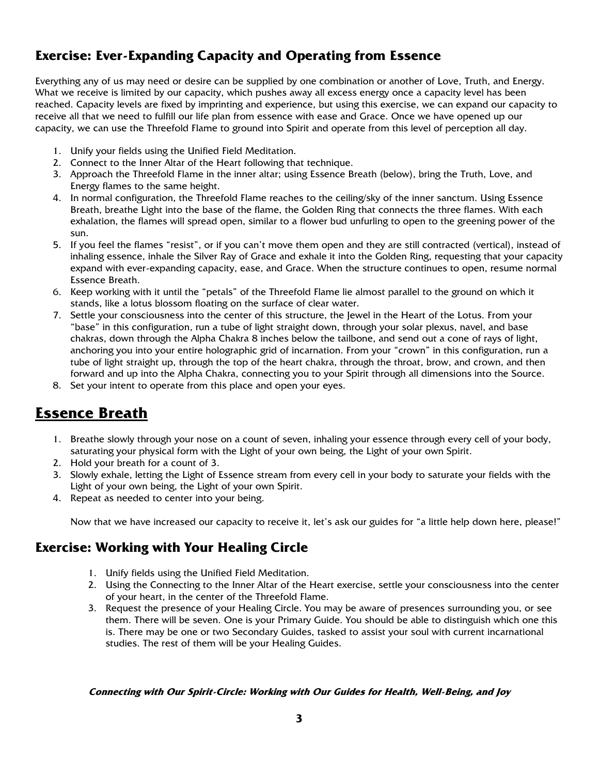# **Exercise: Ever-Expanding Capacity and Operating from Essence**

Everything any of us may need or desire can be supplied by one combination or another of Love, Truth, and Energy. What we receive is limited by our capacity, which pushes away all excess energy once a capacity level has been reached. Capacity levels are fixed by imprinting and experience, but using this exercise, we can expand our capacity to receive all that we need to fulfill our life plan from essence with ease and Grace. Once we have opened up our capacity, we can use the Threefold Flame to ground into Spirit and operate from this level of perception all day.

- 1. Unify your fields using the Unified Field Meditation.
- 2. Connect to the Inner Altar of the Heart following that technique.
- 3. Approach the Threefold Flame in the inner altar; using Essence Breath (below), bring the Truth, Love, and Energy flames to the same height.
- 4. In normal configuration, the Threefold Flame reaches to the ceiling/sky of the inner sanctum. Using Essence Breath, breathe Light into the base of the flame, the Golden Ring that connects the three flames. With each exhalation, the flames will spread open, similar to a flower bud unfurling to open to the greening power of the sun.
- 5. If you feel the flames "resist", or if you can't move them open and they are still contracted (vertical), instead of inhaling essence, inhale the Silver Ray of Grace and exhale it into the Golden Ring, requesting that your capacity expand with ever-expanding capacity, ease, and Grace. When the structure continues to open, resume normal Essence Breath.
- 6. Keep working with it until the "petals" of the Threefold Flame lie almost parallel to the ground on which it stands, like a lotus blossom floating on the surface of clear water.
- 7. Settle your consciousness into the center of this structure, the Jewel in the Heart of the Lotus. From your "base" in this configuration, run a tube of light straight down, through your solar plexus, navel, and base chakras, down through the Alpha Chakra 8 inches below the tailbone, and send out a cone of rays of light, anchoring you into your entire holographic grid of incarnation. From your "crown" in this configuration, run a tube of light straight up, through the top of the heart chakra, through the throat, brow, and crown, and then forward and up into the Alpha Chakra, connecting you to your Spirit through all dimensions into the Source.
- 8. Set your intent to operate from this place and open your eyes.

# **Essence Breath**

- 1. Breathe slowly through your nose on a count of seven, inhaling your essence through every cell of your body, saturating your physical form with the Light of your own being, the Light of your own Spirit.
- 2. Hold your breath for a count of 3.
- 3. Slowly exhale, letting the Light of Essence stream from every cell in your body to saturate your fields with the Light of your own being, the Light of your own Spirit.
- 4. Repeat as needed to center into your being.

Now that we have increased our capacity to receive it, let's ask our guides for "a little help down here, please!"

# **Exercise: Working with Your Healing Circle**

- 1. Unify fields using the Unified Field Meditation.
- 2. Using the Connecting to the Inner Altar of the Heart exercise, settle your consciousness into the center of your heart, in the center of the Threefold Flame.
- 3. Request the presence of your Healing Circle. You may be aware of presences surrounding you, or see them. There will be seven. One is your Primary Guide. You should be able to distinguish which one this is. There may be one or two Secondary Guides, tasked to assist your soul with current incarnational studies. The rest of them will be your Healing Guides.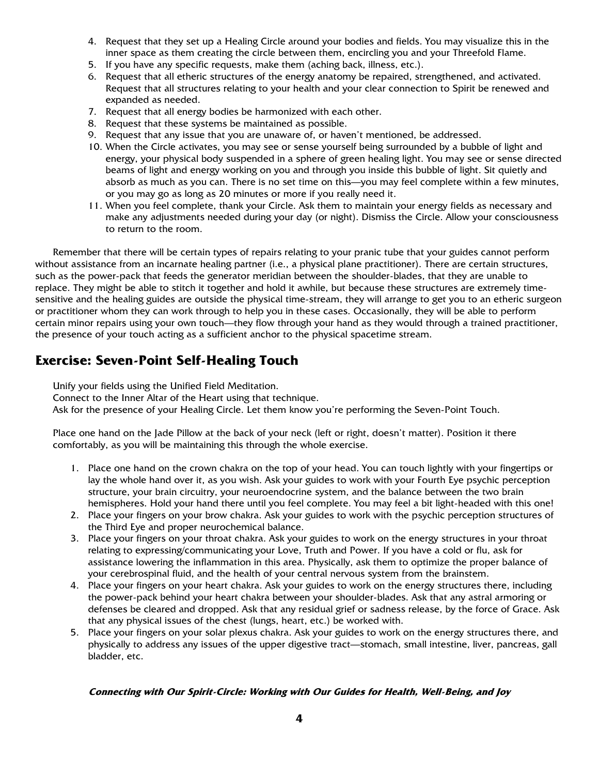- 4. Request that they set up a Healing Circle around your bodies and fields. You may visualize this in the inner space as them creating the circle between them, encircling you and your Threefold Flame.
- 5. If you have any specific requests, make them (aching back, illness, etc.).
- 6. Request that all etheric structures of the energy anatomy be repaired, strengthened, and activated. Request that all structures relating to your health and your clear connection to Spirit be renewed and expanded as needed.
- 7. Request that all energy bodies be harmonized with each other.
- 8. Request that these systems be maintained as possible.
- 9. Request that any issue that you are unaware of, or haven't mentioned, be addressed.
- 10. When the Circle activates, you may see or sense yourself being surrounded by a bubble of light and energy, your physical body suspended in a sphere of green healing light. You may see or sense directed beams of light and energy working on you and through you inside this bubble of light. Sit quietly and absorb as much as you can. There is no set time on this—you may feel complete within a few minutes, or you may go as long as 20 minutes or more if you really need it.
- 11. When you feel complete, thank your Circle. Ask them to maintain your energy fields as necessary and make any adjustments needed during your day (or night). Dismiss the Circle. Allow your consciousness to return to the room.

Remember that there will be certain types of repairs relating to your pranic tube that your guides cannot perform without assistance from an incarnate healing partner (i.e., a physical plane practitioner). There are certain structures, such as the power-pack that feeds the generator meridian between the shoulder-blades, that they are unable to replace. They might be able to stitch it together and hold it awhile, but because these structures are extremely timesensitive and the healing guides are outside the physical time-stream, they will arrange to get you to an etheric surgeon or practitioner whom they can work through to help you in these cases. Occasionally, they will be able to perform certain minor repairs using your own touch—they flow through your hand as they would through a trained practitioner, the presence of your touch acting as a sufficient anchor to the physical spacetime stream.

# **Exercise: Seven-Point Self-Healing Touch**

Unify your fields using the Unified Field Meditation.

Connect to the Inner Altar of the Heart using that technique.

Ask for the presence of your Healing Circle. Let them know you're performing the Seven-Point Touch.

Place one hand on the Jade Pillow at the back of your neck (left or right, doesn't matter). Position it there comfortably, as you will be maintaining this through the whole exercise.

- 1. Place one hand on the crown chakra on the top of your head. You can touch lightly with your fingertips or lay the whole hand over it, as you wish. Ask your guides to work with your Fourth Eye psychic perception structure, your brain circuitry, your neuroendocrine system, and the balance between the two brain hemispheres. Hold your hand there until you feel complete. You may feel a bit light-headed with this one!
- 2. Place your fingers on your brow chakra. Ask your guides to work with the psychic perception structures of the Third Eye and proper neurochemical balance.
- 3. Place your fingers on your throat chakra. Ask your guides to work on the energy structures in your throat relating to expressing/communicating your Love, Truth and Power. If you have a cold or flu, ask for assistance lowering the inflammation in this area. Physically, ask them to optimize the proper balance of your cerebrospinal fluid, and the health of your central nervous system from the brainstem.
- 4. Place your fingers on your heart chakra. Ask your guides to work on the energy structures there, including the power-pack behind your heart chakra between your shoulder-blades. Ask that any astral armoring or defenses be cleared and dropped. Ask that any residual grief or sadness release, by the force of Grace. Ask that any physical issues of the chest (lungs, heart, etc.) be worked with.
- 5. Place your fingers on your solar plexus chakra. Ask your guides to work on the energy structures there, and physically to address any issues of the upper digestive tract—stomach, small intestine, liver, pancreas, gall bladder, etc.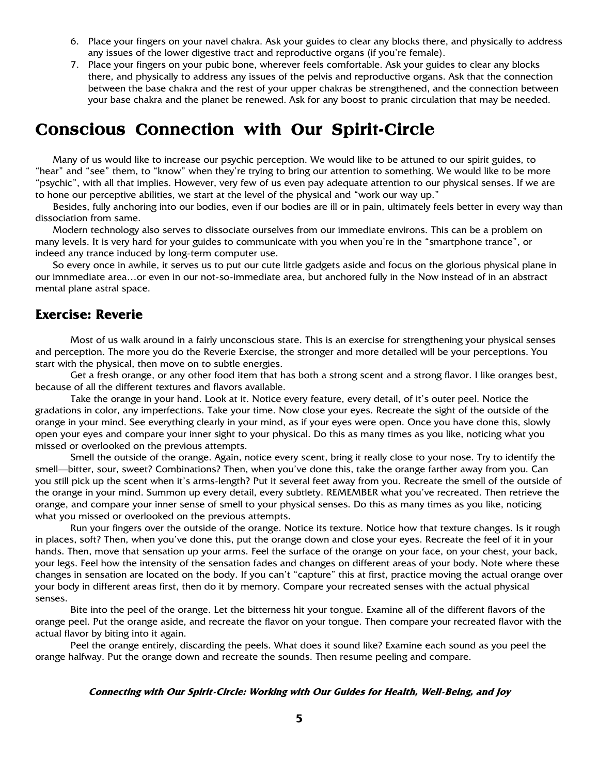- 6. Place your fingers on your navel chakra. Ask your guides to clear any blocks there, and physically to address any issues of the lower digestive tract and reproductive organs (if you're female).
- 7. Place your fingers on your pubic bone, wherever feels comfortable. Ask your guides to clear any blocks there, and physically to address any issues of the pelvis and reproductive organs. Ask that the connection between the base chakra and the rest of your upper chakras be strengthened, and the connection between your base chakra and the planet be renewed. Ask for any boost to pranic circulation that may be needed.

# **Conscious Connection with Our Spirit-Circle**

Many of us would like to increase our psychic perception. We would like to be attuned to our spirit guides, to "hear" and "see" them, to "know" when they're trying to bring our attention to something. We would like to be more "psychic", with all that implies. However, very few of us even pay adequate attention to our physical senses. If we are to hone our perceptive abilities, we start at the level of the physical and "work our way up."

Besides, fully anchoring into our bodies, even if our bodies are ill or in pain, ultimately feels better in every way than dissociation from same.

Modern technology also serves to dissociate ourselves from our immediate environs. This can be a problem on many levels. It is very hard for your guides to communicate with you when you're in the "smartphone trance", or indeed any trance induced by long-term computer use.

So every once in awhile, it serves us to put our cute little gadgets aside and focus on the glorious physical plane in our imnmediate area…or even in our not-so-immediate area, but anchored fully in the Now instead of in an abstract mental plane astral space.

# **Exercise: Reverie**

Most of us walk around in a fairly unconscious state. This is an exercise for strengthening your physical senses and perception. The more you do the Reverie Exercise, the stronger and more detailed will be your perceptions. You start with the physical, then move on to subtle energies.

Get a fresh orange, or any other food item that has both a strong scent and a strong flavor. I like oranges best, because of all the different textures and flavors available.

Take the orange in your hand. Look at it. Notice every feature, every detail, of it's outer peel. Notice the gradations in color, any imperfections. Take your time. Now close your eyes. Recreate the sight of the outside of the orange in your mind. See everything clearly in your mind, as if your eyes were open. Once you have done this, slowly open your eyes and compare your inner sight to your physical. Do this as many times as you like, noticing what you missed or overlooked on the previous attempts.

Smell the outside of the orange. Again, notice every scent, bring it really close to your nose. Try to identify the smell—bitter, sour, sweet? Combinations? Then, when you've done this, take the orange farther away from you. Can you still pick up the scent when it's arms-length? Put it several feet away from you. Recreate the smell of the outside of the orange in your mind. Summon up every detail, every subtlety. REMEMBER what you've recreated. Then retrieve the orange, and compare your inner sense of smell to your physical senses. Do this as many times as you like, noticing what you missed or overlooked on the previous attempts.

Run your fingers over the outside of the orange. Notice its texture. Notice how that texture changes. Is it rough in places, soft? Then, when you've done this, put the orange down and close your eyes. Recreate the feel of it in your hands. Then, move that sensation up your arms. Feel the surface of the orange on your face, on your chest, your back, your legs. Feel how the intensity of the sensation fades and changes on different areas of your body. Note where these changes in sensation are located on the body. If you can't "capture" this at first, practice moving the actual orange over your body in different areas first, then do it by memory. Compare your recreated senses with the actual physical senses.

Bite into the peel of the orange. Let the bitterness hit your tongue. Examine all of the different flavors of the orange peel. Put the orange aside, and recreate the flavor on your tongue. Then compare your recreated flavor with the actual flavor by biting into it again.

Peel the orange entirely, discarding the peels. What does it sound like? Examine each sound as you peel the orange halfway. Put the orange down and recreate the sounds. Then resume peeling and compare.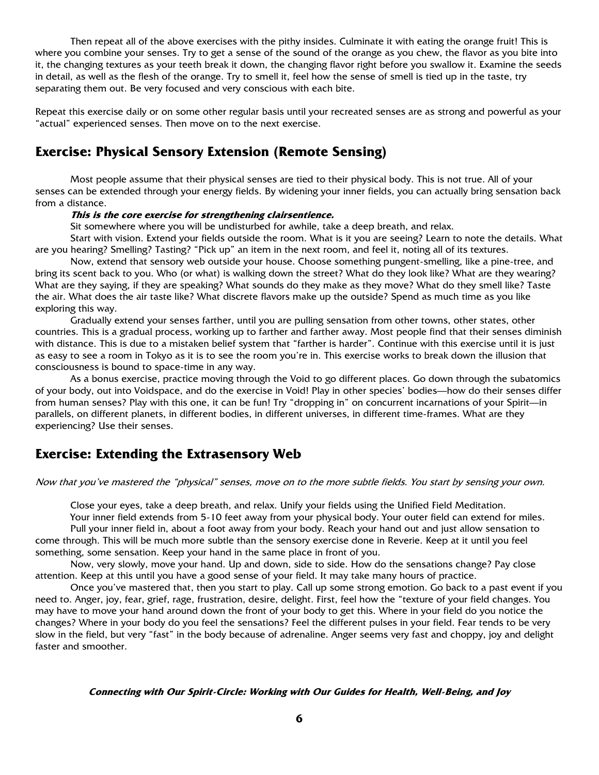Then repeat all of the above exercises with the pithy insides. Culminate it with eating the orange fruit! This is where you combine your senses. Try to get a sense of the sound of the orange as you chew, the flavor as you bite into it, the changing textures as your teeth break it down, the changing flavor right before you swallow it. Examine the seeds in detail, as well as the flesh of the orange. Try to smell it, feel how the sense of smell is tied up in the taste, try separating them out. Be very focused and very conscious with each bite.

Repeat this exercise daily or on some other regular basis until your recreated senses are as strong and powerful as your "actual" experienced senses. Then move on to the next exercise.

# **Exercise: Physical Sensory Extension (Remote Sensing)**

Most people assume that their physical senses are tied to their physical body. This is not true. All of your senses can be extended through your energy fields. By widening your inner fields, you can actually bring sensation back from a distance.

#### **This is the core exercise for strengthening clairsentience.**

Sit somewhere where you will be undisturbed for awhile, take a deep breath, and relax.

Start with vision. Extend your fields outside the room. What is it you are seeing? Learn to note the details. What are you hearing? Smelling? Tasting? "Pick up" an item in the next room, and feel it, noting all of its textures.

Now, extend that sensory web outside your house. Choose something pungent-smelling, like a pine-tree, and bring its scent back to you. Who (or what) is walking down the street? What do they look like? What are they wearing? What are they saying, if they are speaking? What sounds do they make as they move? What do they smell like? Taste the air. What does the air taste like? What discrete flavors make up the outside? Spend as much time as you like exploring this way.

Gradually extend your senses farther, until you are pulling sensation from other towns, other states, other countries. This is a gradual process, working up to farther and farther away. Most people find that their senses diminish with distance. This is due to a mistaken belief system that "farther is harder". Continue with this exercise until it is just as easy to see a room in Tokyo as it is to see the room you're in. This exercise works to break down the illusion that consciousness is bound to space-time in any way.

As a bonus exercise, practice moving through the Void to go different places. Go down through the subatomics of your body, out into Voidspace, and do the exercise in Void! Play in other species' bodies—how do their senses differ from human senses? Play with this one, it can be fun! Try "dropping in" on concurrent incarnations of your Spirit—in parallels, on different planets, in different bodies, in different universes, in different time-frames. What are they experiencing? Use their senses.

# **Exercise: Extending the Extrasensory Web**

Now that you've mastered the "physical" senses, move on to the more subtle fields. You start by sensing your own.

Close your eyes, take a deep breath, and relax. Unify your fields using the Unified Field Meditation.

Your inner field extends from 5-10 feet away from your physical body. Your outer field can extend for miles. Pull your inner field in, about a foot away from your body. Reach your hand out and just allow sensation to

come through. This will be much more subtle than the sensory exercise done in Reverie. Keep at it until you feel something, some sensation. Keep your hand in the same place in front of you.

Now, very slowly, move your hand. Up and down, side to side. How do the sensations change? Pay close attention. Keep at this until you have a good sense of your field. It may take many hours of practice.

Once you've mastered that, then you start to play. Call up some strong emotion. Go back to a past event if you need to. Anger, joy, fear, grief, rage, frustration, desire, delight. First, feel how the "texture of your field changes. You may have to move your hand around down the front of your body to get this. Where in your field do you notice the changes? Where in your body do you feel the sensations? Feel the different pulses in your field. Fear tends to be very slow in the field, but very "fast" in the body because of adrenaline. Anger seems very fast and choppy, joy and delight faster and smoother.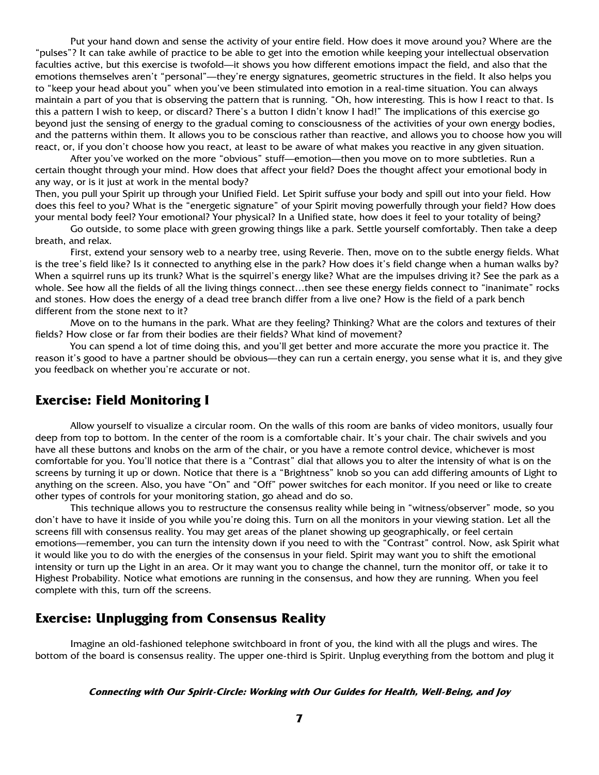Put your hand down and sense the activity of your entire field. How does it move around you? Where are the "pulses"? It can take awhile of practice to be able to get into the emotion while keeping your intellectual observation faculties active, but this exercise is twofold—it shows you how different emotions impact the field, and also that the emotions themselves aren't "personal"—they're energy signatures, geometric structures in the field. It also helps you to "keep your head about you" when you've been stimulated into emotion in a real-time situation. You can always maintain a part of you that is observing the pattern that is running. "Oh, how interesting. This is how I react to that. Is this a pattern I wish to keep, or discard? There's a button I didn't know I had!" The implications of this exercise go beyond just the sensing of energy to the gradual coming to consciousness of the activities of your own energy bodies, and the patterns within them. It allows you to be conscious rather than reactive, and allows you to choose how you will react, or, if you don't choose how you react, at least to be aware of what makes you reactive in any given situation.

After you've worked on the more "obvious" stuff—emotion—then you move on to more subtleties. Run a certain thought through your mind. How does that affect your field? Does the thought affect your emotional body in any way, or is it just at work in the mental body?

Then, you pull your Spirit up through your Unified Field. Let Spirit suffuse your body and spill out into your field. How does this feel to you? What is the "energetic signature" of your Spirit moving powerfully through your field? How does your mental body feel? Your emotional? Your physical? In a Unified state, how does it feel to your totality of being?

Go outside, to some place with green growing things like a park. Settle yourself comfortably. Then take a deep breath, and relax.

First, extend your sensory web to a nearby tree, using Reverie. Then, move on to the subtle energy fields. What is the tree's field like? Is it connected to anything else in the park? How does it's field change when a human walks by? When a squirrel runs up its trunk? What is the squirrel's energy like? What are the impulses driving it? See the park as a whole. See how all the fields of all the living things connect…then see these energy fields connect to "inanimate" rocks and stones. How does the energy of a dead tree branch differ from a live one? How is the field of a park bench different from the stone next to it?

Move on to the humans in the park. What are they feeling? Thinking? What are the colors and textures of their fields? How close or far from their bodies are their fields? What kind of movement?

You can spend a lot of time doing this, and you'll get better and more accurate the more you practice it. The reason it's good to have a partner should be obvious—they can run a certain energy, you sense what it is, and they give you feedback on whether you're accurate or not.

# **Exercise: Field Monitoring I**

Allow yourself to visualize a circular room. On the walls of this room are banks of video monitors, usually four deep from top to bottom. In the center of the room is a comfortable chair. It's your chair. The chair swivels and you have all these buttons and knobs on the arm of the chair, or you have a remote control device, whichever is most comfortable for you. You'll notice that there is a "Contrast" dial that allows you to alter the intensity of what is on the screens by turning it up or down. Notice that there is a "Brightness" knob so you can add differing amounts of Light to anything on the screen. Also, you have "On" and "Off" power switches for each monitor. If you need or like to create other types of controls for your monitoring station, go ahead and do so.

This technique allows you to restructure the consensus reality while being in "witness/observer" mode, so you don't have to have it inside of you while you're doing this. Turn on all the monitors in your viewing station. Let all the screens fill with consensus reality. You may get areas of the planet showing up geographically, or feel certain emotions—remember, you can turn the intensity down if you need to with the "Contrast" control. Now, ask Spirit what it would like you to do with the energies of the consensus in your field. Spirit may want you to shift the emotional intensity or turn up the Light in an area. Or it may want you to change the channel, turn the monitor off, or take it to Highest Probability. Notice what emotions are running in the consensus, and how they are running. When you feel complete with this, turn off the screens.

# **Exercise: Unplugging from Consensus Reality**

Imagine an old-fashioned telephone switchboard in front of you, the kind with all the plugs and wires. The bottom of the board is consensus reality. The upper one-third is Spirit. Unplug everything from the bottom and plug it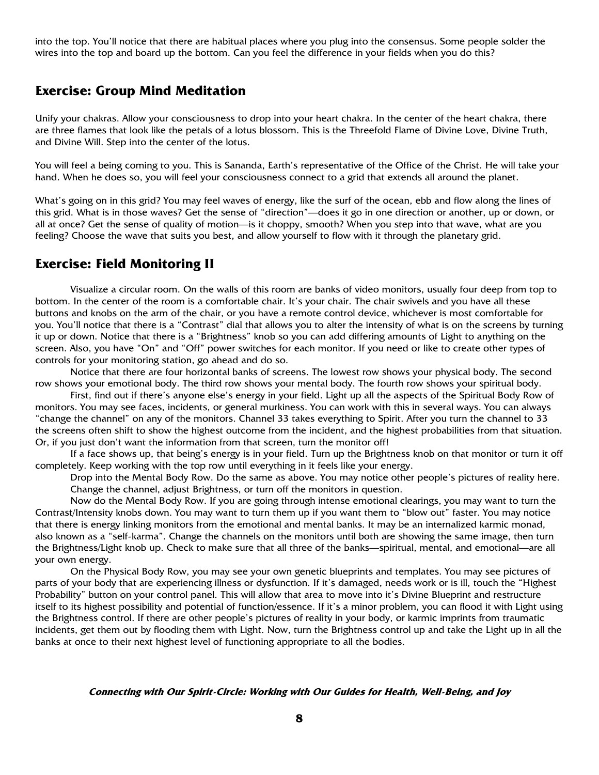into the top. You'll notice that there are habitual places where you plug into the consensus. Some people solder the wires into the top and board up the bottom. Can you feel the difference in your fields when you do this?

## **Exercise: Group Mind Meditation**

Unify your chakras. Allow your consciousness to drop into your heart chakra. In the center of the heart chakra, there are three flames that look like the petals of a lotus blossom. This is the Threefold Flame of Divine Love, Divine Truth, and Divine Will. Step into the center of the lotus.

You will feel a being coming to you. This is Sananda, Earth's representative of the Office of the Christ. He will take your hand. When he does so, you will feel your consciousness connect to a grid that extends all around the planet.

What's going on in this grid? You may feel waves of energy, like the surf of the ocean, ebb and flow along the lines of this grid. What is in those waves? Get the sense of "direction"—does it go in one direction or another, up or down, or all at once? Get the sense of quality of motion—is it choppy, smooth? When you step into that wave, what are you feeling? Choose the wave that suits you best, and allow yourself to flow with it through the planetary grid.

# **Exercise: Field Monitoring II**

Visualize a circular room. On the walls of this room are banks of video monitors, usually four deep from top to bottom. In the center of the room is a comfortable chair. It's your chair. The chair swivels and you have all these buttons and knobs on the arm of the chair, or you have a remote control device, whichever is most comfortable for you. You'll notice that there is a "Contrast" dial that allows you to alter the intensity of what is on the screens by turning it up or down. Notice that there is a "Brightness" knob so you can add differing amounts of Light to anything on the screen. Also, you have "On" and "Off" power switches for each monitor. If you need or like to create other types of controls for your monitoring station, go ahead and do so.

Notice that there are four horizontal banks of screens. The lowest row shows your physical body. The second row shows your emotional body. The third row shows your mental body. The fourth row shows your spiritual body.

First, find out if there's anyone else's energy in your field. Light up all the aspects of the Spiritual Body Row of monitors. You may see faces, incidents, or general murkiness. You can work with this in several ways. You can always "change the channel" on any of the monitors. Channel 33 takes everything to Spirit. After you turn the channel to 33 the screens often shift to show the highest outcome from the incident, and the highest probabilities from that situation. Or, if you just don't want the information from that screen, turn the monitor off!

 If a face shows up, that being's energy is in your field. Turn up the Brightness knob on that monitor or turn it off completely. Keep working with the top row until everything in it feels like your energy.

Drop into the Mental Body Row. Do the same as above. You may notice other people's pictures of reality here. Change the channel, adjust Brightness, or turn off the monitors in question.

Now do the Mental Body Row. If you are going through intense emotional clearings, you may want to turn the Contrast/Intensity knobs down. You may want to turn them up if you want them to "blow out" faster. You may notice that there is energy linking monitors from the emotional and mental banks. It may be an internalized karmic monad, also known as a "self-karma". Change the channels on the monitors until both are showing the same image, then turn the Brightness/Light knob up. Check to make sure that all three of the banks—spiritual, mental, and emotional—are all your own energy.

On the Physical Body Row, you may see your own genetic blueprints and templates. You may see pictures of parts of your body that are experiencing illness or dysfunction. If it's damaged, needs work or is ill, touch the "Highest Probability" button on your control panel. This will allow that area to move into it's Divine Blueprint and restructure itself to its highest possibility and potential of function/essence. If it's a minor problem, you can flood it with Light using the Brightness control. If there are other people's pictures of reality in your body, or karmic imprints from traumatic incidents, get them out by flooding them with Light. Now, turn the Brightness control up and take the Light up in all the banks at once to their next highest level of functioning appropriate to all the bodies.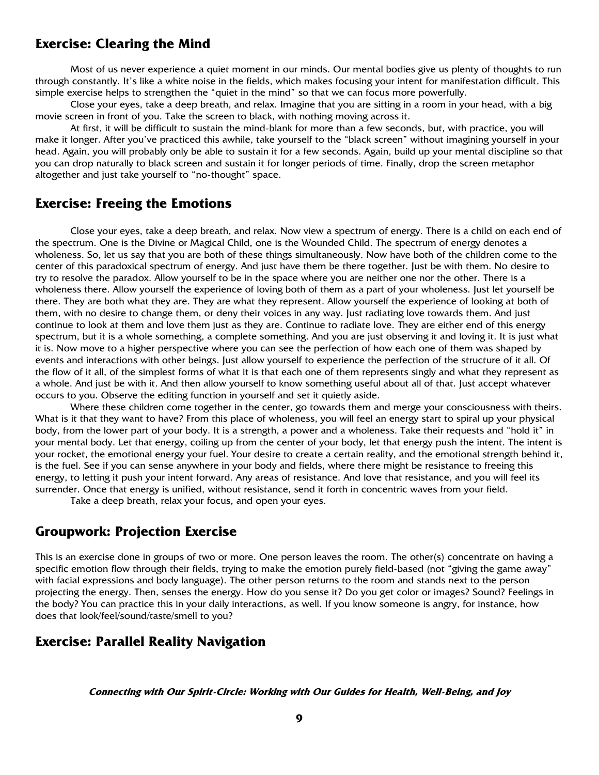# **Exercise: Clearing the Mind**

Most of us never experience a quiet moment in our minds. Our mental bodies give us plenty of thoughts to run through constantly. It's like a white noise in the fields, which makes focusing your intent for manifestation difficult. This simple exercise helps to strengthen the "quiet in the mind" so that we can focus more powerfully.

 Close your eyes, take a deep breath, and relax. Imagine that you are sitting in a room in your head, with a big movie screen in front of you. Take the screen to black, with nothing moving across it.

At first, it will be difficult to sustain the mind-blank for more than a few seconds, but, with practice, you will make it longer. After you've practiced this awhile, take yourself to the "black screen" without imagining yourself in your head. Again, you will probably only be able to sustain it for a few seconds. Again, build up your mental discipline so that you can drop naturally to black screen and sustain it for longer periods of time. Finally, drop the screen metaphor altogether and just take yourself to "no-thought" space.

## **Exercise: Freeing the Emotions**

Close your eyes, take a deep breath, and relax. Now view a spectrum of energy. There is a child on each end of the spectrum. One is the Divine or Magical Child, one is the Wounded Child. The spectrum of energy denotes a wholeness. So, let us say that you are both of these things simultaneously. Now have both of the children come to the center of this paradoxical spectrum of energy. And just have them be there together. Just be with them. No desire to try to resolve the paradox. Allow yourself to be in the space where you are neither one nor the other. There is a wholeness there. Allow yourself the experience of loving both of them as a part of your wholeness. Just let yourself be there. They are both what they are. They are what they represent. Allow yourself the experience of looking at both of them, with no desire to change them, or deny their voices in any way. Just radiating love towards them. And just continue to look at them and love them just as they are. Continue to radiate love. They are either end of this energy spectrum, but it is a whole something, a complete something. And you are just observing it and loving it. It is just what it is. Now move to a higher perspective where you can see the perfection of how each one of them was shaped by events and interactions with other beings. Just allow yourself to experience the perfection of the structure of it all. Of the flow of it all, of the simplest forms of what it is that each one of them represents singly and what they represent as a whole. And just be with it. And then allow yourself to know something useful about all of that. Just accept whatever occurs to you. Observe the editing function in yourself and set it quietly aside.

Where these children come together in the center, go towards them and merge your consciousness with theirs. What is it that they want to have? From this place of wholeness, you will feel an energy start to spiral up your physical body, from the lower part of your body. It is a strength, a power and a wholeness. Take their requests and "hold it" in your mental body. Let that energy, coiling up from the center of your body, let that energy push the intent. The intent is your rocket, the emotional energy your fuel. Your desire to create a certain reality, and the emotional strength behind it, is the fuel. See if you can sense anywhere in your body and fields, where there might be resistance to freeing this energy, to letting it push your intent forward. Any areas of resistance. And love that resistance, and you will feel its surrender. Once that energy is unified, without resistance, send it forth in concentric waves from your field.

Take a deep breath, relax your focus, and open your eyes.

# **Groupwork: Projection Exercise**

This is an exercise done in groups of two or more. One person leaves the room. The other(s) concentrate on having a specific emotion flow through their fields, trying to make the emotion purely field-based (not "giving the game away" with facial expressions and body language). The other person returns to the room and stands next to the person projecting the energy. Then, senses the energy. How do you sense it? Do you get color or images? Sound? Feelings in the body? You can practice this in your daily interactions, as well. If you know someone is angry, for instance, how does that look/feel/sound/taste/smell to you?

# **Exercise: Parallel Reality Navigation**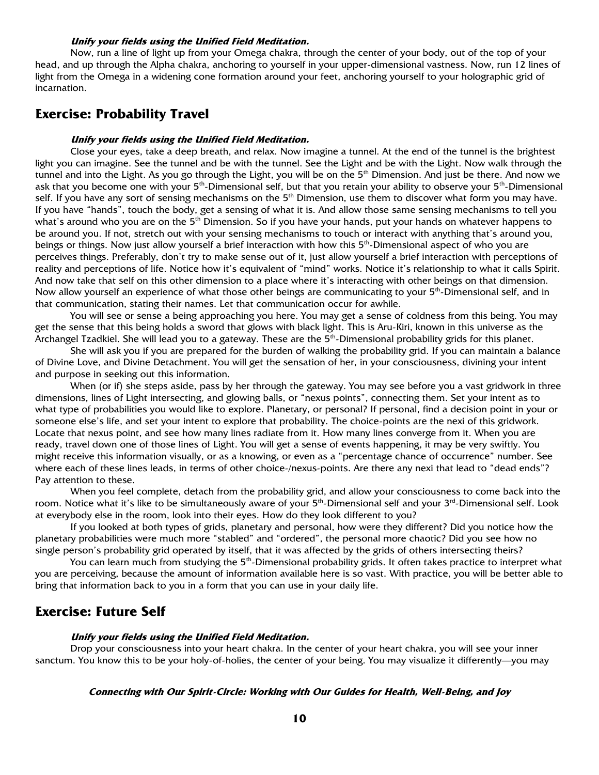#### **Unify your fields using the Unified Field Meditation.**

Now, run a line of light up from your Omega chakra, through the center of your body, out of the top of your head, and up through the Alpha chakra, anchoring to yourself in your upper-dimensional vastness. Now, run 12 lines of light from the Omega in a widening cone formation around your feet, anchoring yourself to your holographic grid of incarnation.

# **Exercise: Probability Travel**

#### **Unify your fields using the Unified Field Meditation.**

Close your eyes, take a deep breath, and relax. Now imagine a tunnel. At the end of the tunnel is the brightest light you can imagine. See the tunnel and be with the tunnel. See the Light and be with the Light. Now walk through the tunnel and into the Light. As you go through the Light, you will be on the 5<sup>th</sup> Dimension. And just be there. And now we ask that you become one with your 5<sup>th</sup>-Dimensional self, but that you retain your ability to observe your 5<sup>th</sup>-Dimensional self. If you have any sort of sensing mechanisms on the 5<sup>th</sup> Dimension, use them to discover what form you may have. If you have "hands", touch the body, get a sensing of what it is. And allow those same sensing mechanisms to tell you what's around who you are on the 5<sup>th</sup> Dimension. So if you have your hands, put your hands on whatever happens to be around you. If not, stretch out with your sensing mechanisms to touch or interact with anything that's around you, beings or things. Now just allow yourself a brief interaction with how this  $5<sup>th</sup>$ -Dimensional aspect of who you are perceives things. Preferably, don't try to make sense out of it, just allow yourself a brief interaction with perceptions of reality and perceptions of life. Notice how it's equivalent of "mind" works. Notice it's relationship to what it calls Spirit. And now take that self on this other dimension to a place where it's interacting with other beings on that dimension. Now allow yourself an experience of what those other beings are communicating to your 5<sup>th</sup>-Dimensional self, and in that communication, stating their names. Let that communication occur for awhile.

You will see or sense a being approaching you here. You may get a sense of coldness from this being. You may get the sense that this being holds a sword that glows with black light. This is Aru-Kiri, known in this universe as the Archangel Tzadkiel. She will lead you to a gateway. These are the 5<sup>th</sup>-Dimensional probability grids for this planet.

 She will ask you if you are prepared for the burden of walking the probability grid. If you can maintain a balance of Divine Love, and Divine Detachment. You will get the sensation of her, in your consciousness, divining your intent and purpose in seeking out this information.

 When (or if) she steps aside, pass by her through the gateway. You may see before you a vast gridwork in three dimensions, lines of Light intersecting, and glowing balls, or "nexus points", connecting them. Set your intent as to what type of probabilities you would like to explore. Planetary, or personal? If personal, find a decision point in your or someone else's life, and set your intent to explore that probability. The choice-points are the nexi of this gridwork. Locate that nexus point, and see how many lines radiate from it. How many lines converge from it. When you are ready, travel down one of those lines of Light. You will get a sense of events happening, it may be very swiftly. You might receive this information visually, or as a knowing, or even as a "percentage chance of occurrence" number. See where each of these lines leads, in terms of other choice-/nexus-points. Are there any nexi that lead to "dead ends"? Pay attention to these.

When you feel complete, detach from the probability grid, and allow your consciousness to come back into the room. Notice what it's like to be simultaneously aware of your 5<sup>th</sup>-Dimensional self and your 3<sup>rd</sup>-Dimensional self. Look at everybody else in the room, look into their eyes. How do they look different to you?

If you looked at both types of grids, planetary and personal, how were they different? Did you notice how the planetary probabilities were much more "stabled" and "ordered", the personal more chaotic? Did you see how no single person's probability grid operated by itself, that it was affected by the grids of others intersecting theirs?

You can learn much from studying the  $5<sup>th</sup>$ -Dimensional probability grids. It often takes practice to interpret what you are perceiving, because the amount of information available here is so vast. With practice, you will be better able to bring that information back to you in a form that you can use in your daily life.

## **Exercise: Future Self**

#### **Unify your fields using the Unified Field Meditation.**

Drop your consciousness into your heart chakra. In the center of your heart chakra, you will see your inner sanctum. You know this to be your holy-of-holies, the center of your being. You may visualize it differently—you may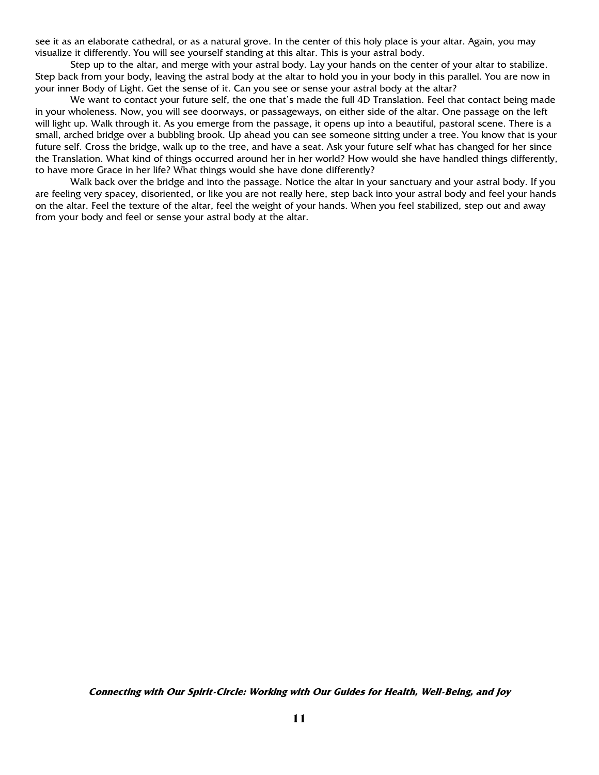see it as an elaborate cathedral, or as a natural grove. In the center of this holy place is your altar. Again, you may visualize it differently. You will see yourself standing at this altar. This is your astral body.

Step up to the altar, and merge with your astral body. Lay your hands on the center of your altar to stabilize. Step back from your body, leaving the astral body at the altar to hold you in your body in this parallel. You are now in your inner Body of Light. Get the sense of it. Can you see or sense your astral body at the altar?

We want to contact your future self, the one that's made the full 4D Translation. Feel that contact being made in your wholeness. Now, you will see doorways, or passageways, on either side of the altar. One passage on the left will light up. Walk through it. As you emerge from the passage, it opens up into a beautiful, pastoral scene. There is a small, arched bridge over a bubbling brook. Up ahead you can see someone sitting under a tree. You know that is your future self. Cross the bridge, walk up to the tree, and have a seat. Ask your future self what has changed for her since the Translation. What kind of things occurred around her in her world? How would she have handled things differently, to have more Grace in her life? What things would she have done differently?

Walk back over the bridge and into the passage. Notice the altar in your sanctuary and your astral body. If you are feeling very spacey, disoriented, or like you are not really here, step back into your astral body and feel your hands on the altar. Feel the texture of the altar, feel the weight of your hands. When you feel stabilized, step out and away from your body and feel or sense your astral body at the altar.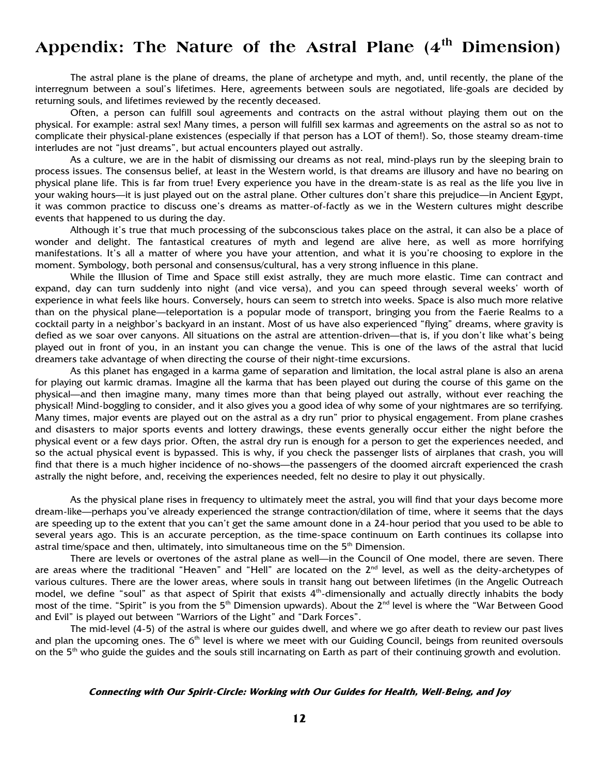# **Appendix: The Nature of the Astral Plane (4th Dimension)**

The astral plane is the plane of dreams, the plane of archetype and myth, and, until recently, the plane of the interregnum between a soul's lifetimes. Here, agreements between souls are negotiated, life-goals are decided by returning souls, and lifetimes reviewed by the recently deceased.

Often, a person can fulfill soul agreements and contracts on the astral without playing them out on the physical. For example: astral sex! Many times, a person will fulfill sex karmas and agreements on the astral so as not to complicate their physical-plane existences (especially if that person has a LOT of them!). So, those steamy dream-time interludes are not "just dreams", but actual encounters played out astrally.

As a culture, we are in the habit of dismissing our dreams as not real, mind-plays run by the sleeping brain to process issues. The consensus belief, at least in the Western world, is that dreams are illusory and have no bearing on physical plane life. This is far from true! Every experience you have in the dream-state is as real as the life you live in your waking hours—it is just played out on the astral plane. Other cultures don't share this prejudice—in Ancient Egypt, it was common practice to discuss one's dreams as matter-of-factly as we in the Western cultures might describe events that happened to us during the day.

Although it's true that much processing of the subconscious takes place on the astral, it can also be a place of wonder and delight. The fantastical creatures of myth and legend are alive here, as well as more horrifying manifestations. It's all a matter of where you have your attention, and what it is you're choosing to explore in the moment. Symbology, both personal and consensus/cultural, has a very strong influence in this plane.

While the Illusion of Time and Space still exist astrally, they are much more elastic. Time can contract and expand, day can turn suddenly into night (and vice versa), and you can speed through several weeks' worth of experience in what feels like hours. Conversely, hours can seem to stretch into weeks. Space is also much more relative than on the physical plane—teleportation is a popular mode of transport, bringing you from the Faerie Realms to a cocktail party in a neighbor's backyard in an instant. Most of us have also experienced "flying" dreams, where gravity is defied as we soar over canyons. All situations on the astral are attention-driven—that is, if you don't like what's being played out in front of you, in an instant you can change the venue. This is one of the laws of the astral that lucid dreamers take advantage of when directing the course of their night-time excursions.

As this planet has engaged in a karma game of separation and limitation, the local astral plane is also an arena for playing out karmic dramas. Imagine all the karma that has been played out during the course of this game on the physical—and then imagine many, many times more than that being played out astrally, without ever reaching the physical! Mind-boggling to consider, and it also gives you a good idea of why some of your nightmares are so terrifying. Many times, major events are played out on the astral as a dry run" prior to physical engagement. From plane crashes and disasters to major sports events and lottery drawings, these events generally occur either the night before the physical event or a few days prior. Often, the astral dry run is enough for a person to get the experiences needed, and so the actual physical event is bypassed. This is why, if you check the passenger lists of airplanes that crash, you will find that there is a much higher incidence of no-shows—the passengers of the doomed aircraft experienced the crash astrally the night before, and, receiving the experiences needed, felt no desire to play it out physically.

As the physical plane rises in frequency to ultimately meet the astral, you will find that your days become more dream-like—perhaps you've already experienced the strange contraction/dilation of time, where it seems that the days are speeding up to the extent that you can't get the same amount done in a 24-hour period that you used to be able to several years ago. This is an accurate perception, as the time-space continuum on Earth continues its collapse into astral time/space and then, ultimately, into simultaneous time on the  $5<sup>th</sup>$  Dimension.

There are levels or overtones of the astral plane as well—in the Council of One model, there are seven. There are areas where the traditional "Heaven" and "Hell" are located on the  $2^{nd}$  level, as well as the deity-archetypes of various cultures. There are the lower areas, where souls in transit hang out between lifetimes (in the Angelic Outreach model, we define "soul" as that aspect of Spirit that exists  $4<sup>th</sup>$ -dimensionally and actually directly inhabits the body most of the time. "Spirit" is you from the  $5<sup>th</sup>$  Dimension upwards). About the  $2<sup>nd</sup>$  level is where the "War Between Good and Evil" is played out between "Warriors of the Light" and "Dark Forces".

The mid-level (4-5) of the astral is where our guides dwell, and where we go after death to review our past lives and plan the upcoming ones. The  $6<sup>th</sup>$  level is where we meet with our Guiding Council, beings from reunited oversouls on the 5<sup>th</sup> who guide the guides and the souls still incarnating on Earth as part of their continuing growth and evolution.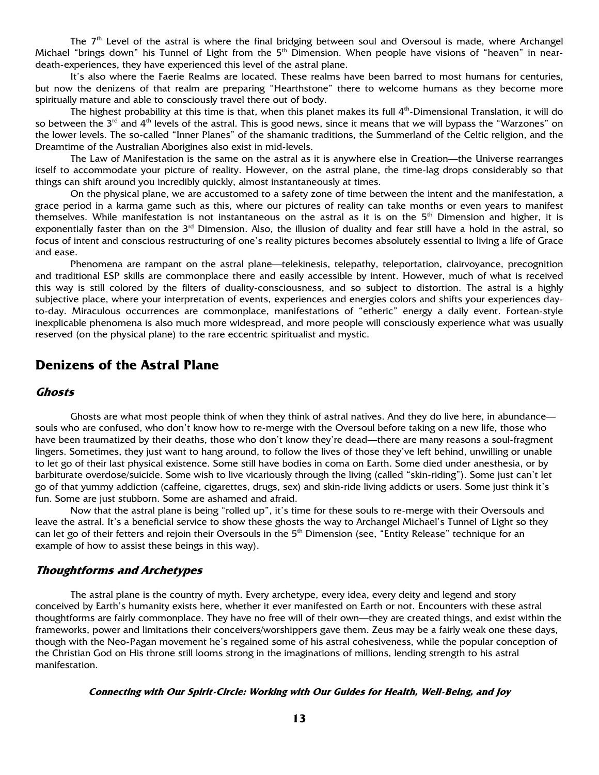The  $7<sup>th</sup>$  Level of the astral is where the final bridging between soul and Oversoul is made, where Archangel Michael "brings down" his Tunnel of Light from the 5<sup>th</sup> Dimension. When people have visions of "heaven" in neardeath-experiences, they have experienced this level of the astral plane.

It's also where the Faerie Realms are located. These realms have been barred to most humans for centuries, but now the denizens of that realm are preparing "Hearthstone" there to welcome humans as they become more spiritually mature and able to consciously travel there out of body.

The highest probability at this time is that, when this planet makes its full  $4<sup>th</sup>$ -Dimensional Translation, it will do so between the  $3^{rd}$  and  $4^{th}$  levels of the astral. This is good news, since it means that we will bypass the "Warzones" on the lower levels. The so-called "Inner Planes" of the shamanic traditions, the Summerland of the Celtic religion, and the Dreamtime of the Australian Aborigines also exist in mid-levels.

The Law of Manifestation is the same on the astral as it is anywhere else in Creation—the Universe rearranges itself to accommodate your picture of reality. However, on the astral plane, the time-lag drops considerably so that things can shift around you incredibly quickly, almost instantaneously at times.

On the physical plane, we are accustomed to a safety zone of time between the intent and the manifestation, a grace period in a karma game such as this, where our pictures of reality can take months or even years to manifest themselves. While manifestation is not instantaneous on the astral as it is on the 5<sup>th</sup> Dimension and higher, it is exponentially faster than on the  $3<sup>rd</sup>$  Dimension. Also, the illusion of duality and fear still have a hold in the astral, so focus of intent and conscious restructuring of one's reality pictures becomes absolutely essential to living a life of Grace and ease.

Phenomena are rampant on the astral plane—telekinesis, telepathy, teleportation, clairvoyance, precognition and traditional ESP skills are commonplace there and easily accessible by intent. However, much of what is received this way is still colored by the filters of duality-consciousness, and so subject to distortion. The astral is a highly subjective place, where your interpretation of events, experiences and energies colors and shifts your experiences dayto-day. Miraculous occurrences are commonplace, manifestations of "etheric" energy a daily event. Fortean-style inexplicable phenomena is also much more widespread, and more people will consciously experience what was usually reserved (on the physical plane) to the rare eccentric spiritualist and mystic.

## **Denizens of the Astral Plane**

#### **Ghosts**

Ghosts are what most people think of when they think of astral natives. And they do live here, in abundance souls who are confused, who don't know how to re-merge with the Oversoul before taking on a new life, those who have been traumatized by their deaths, those who don't know they're dead—there are many reasons a soul-fragment lingers. Sometimes, they just want to hang around, to follow the lives of those they've left behind, unwilling or unable to let go of their last physical existence. Some still have bodies in coma on Earth. Some died under anesthesia, or by barbiturate overdose/suicide. Some wish to live vicariously through the living (called "skin-riding"). Some just can't let go of that yummy addiction (caffeine, cigarettes, drugs, sex) and skin-ride living addicts or users. Some just think it's fun. Some are just stubborn. Some are ashamed and afraid.

Now that the astral plane is being "rolled up", it's time for these souls to re-merge with their Oversouls and leave the astral. It's a beneficial service to show these ghosts the way to Archangel Michael's Tunnel of Light so they can let go of their fetters and rejoin their Oversouls in the  $5<sup>th</sup>$  Dimension (see, "Entity Release" technique for an example of how to assist these beings in this way).

### **Thoughtforms and Archetypes**

The astral plane is the country of myth. Every archetype, every idea, every deity and legend and story conceived by Earth's humanity exists here, whether it ever manifested on Earth or not. Encounters with these astral thoughtforms are fairly commonplace. They have no free will of their own—they are created things, and exist within the frameworks, power and limitations their conceivers/worshippers gave them. Zeus may be a fairly weak one these days, though with the Neo-Pagan movement he's regained some of his astral cohesiveness, while the popular conception of the Christian God on His throne still looms strong in the imaginations of millions, lending strength to his astral manifestation.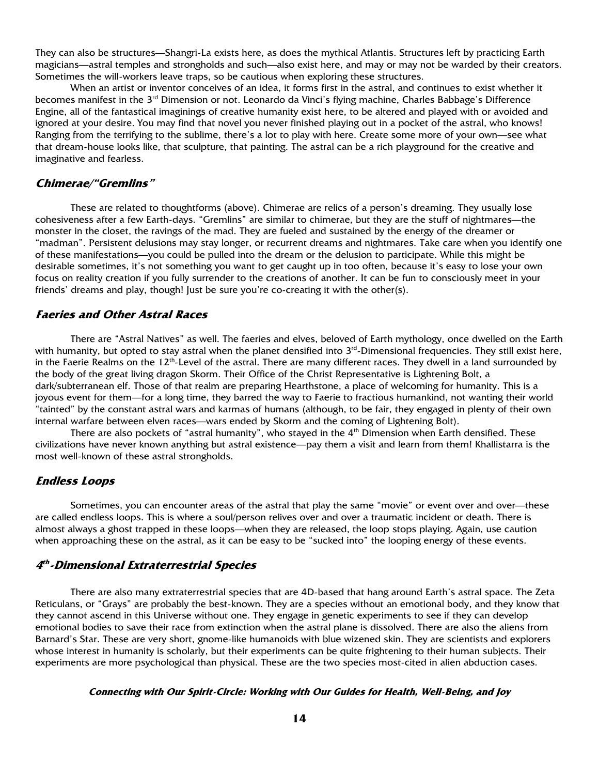They can also be structures—Shangri-La exists here, as does the mythical Atlantis. Structures left by practicing Earth magicians—astral temples and strongholds and such—also exist here, and may or may not be warded by their creators. Sometimes the will-workers leave traps, so be cautious when exploring these structures.

When an artist or inventor conceives of an idea, it forms first in the astral, and continues to exist whether it becomes manifest in the 3<sup>rd</sup> Dimension or not. Leonardo da Vinci's flying machine, Charles Babbage's Difference Engine, all of the fantastical imaginings of creative humanity exist here, to be altered and played with or avoided and ignored at your desire. You may find that novel you never finished playing out in a pocket of the astral, who knows! Ranging from the terrifying to the sublime, there's a lot to play with here. Create some more of your own—see what that dream-house looks like, that sculpture, that painting. The astral can be a rich playground for the creative and imaginative and fearless.

### **Chimerae/"Gremlins"**

These are related to thoughtforms (above). Chimerae are relics of a person's dreaming. They usually lose cohesiveness after a few Earth-days. "Gremlins" are similar to chimerae, but they are the stuff of nightmares—the monster in the closet, the ravings of the mad. They are fueled and sustained by the energy of the dreamer or "madman". Persistent delusions may stay longer, or recurrent dreams and nightmares. Take care when you identify one of these manifestations—you could be pulled into the dream or the delusion to participate. While this might be desirable sometimes, it's not something you want to get caught up in too often, because it's easy to lose your own focus on reality creation if you fully surrender to the creations of another. It can be fun to consciously meet in your friends' dreams and play, though! Just be sure you're co-creating it with the other(s).

#### **Faeries and Other Astral Races**

There are "Astral Natives" as well. The faeries and elves, beloved of Earth mythology, once dwelled on the Earth with humanity, but opted to stay astral when the planet densified into  $3^{rd}$ -Dimensional frequencies. They still exist here, in the Faerie Realms on the  $12<sup>th</sup>$ -Level of the astral. There are many different races. They dwell in a land surrounded by the body of the great living dragon Skorm. Their Office of the Christ Representative is Lightening Bolt, a dark/subterranean elf. Those of that realm are preparing Hearthstone, a place of welcoming for humanity. This is a joyous event for them—for a long time, they barred the way to Faerie to fractious humankind, not wanting their world "tainted" by the constant astral wars and karmas of humans (although, to be fair, they engaged in plenty of their own internal warfare between elven races—wars ended by Skorm and the coming of Lightening Bolt).

There are also pockets of "astral humanity", who stayed in the  $4<sup>th</sup>$  Dimension when Earth densified. These civilizations have never known anything but astral existence—pay them a visit and learn from them! Khallistarra is the most well-known of these astral strongholds.

### **Endless Loops**

Sometimes, you can encounter areas of the astral that play the same "movie" or event over and over—these are called endless loops. This is where a soul/person relives over and over a traumatic incident or death. There is almost always a ghost trapped in these loops—when they are released, the loop stops playing. Again, use caution when approaching these on the astral, as it can be easy to be "sucked into" the looping energy of these events.

### **4 th -Dimensional Extraterrestrial Species**

There are also many extraterrestrial species that are 4D-based that hang around Earth's astral space. The Zeta Reticulans, or "Grays" are probably the best-known. They are a species without an emotional body, and they know that they cannot ascend in this Universe without one. They engage in genetic experiments to see if they can develop emotional bodies to save their race from extinction when the astral plane is dissolved. There are also the aliens from Barnard's Star. These are very short, gnome-like humanoids with blue wizened skin. They are scientists and explorers whose interest in humanity is scholarly, but their experiments can be quite frightening to their human subjects. Their experiments are more psychological than physical. These are the two species most-cited in alien abduction cases.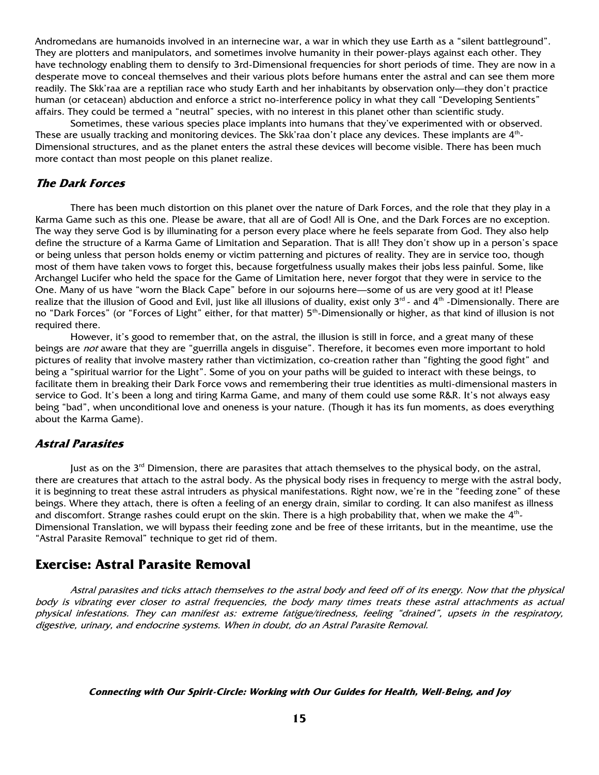Andromedans are humanoids involved in an internecine war, a war in which they use Earth as a "silent battleground". They are plotters and manipulators, and sometimes involve humanity in their power-plays against each other. They have technology enabling them to densify to 3rd-Dimensional frequencies for short periods of time. They are now in a desperate move to conceal themselves and their various plots before humans enter the astral and can see them more readily. The Skk'raa are a reptilian race who study Earth and her inhabitants by observation only—they don't practice human (or cetacean) abduction and enforce a strict no-interference policy in what they call "Developing Sentients" affairs. They could be termed a "neutral" species, with no interest in this planet other than scientific study.

Sometimes, these various species place implants into humans that they've experimented with or observed. These are usually tracking and monitoring devices. The Skk'raa don't place any devices. These implants are  $4^{\rm th}$ -Dimensional structures, and as the planet enters the astral these devices will become visible. There has been much more contact than most people on this planet realize.

#### **The Dark Forces**

There has been much distortion on this planet over the nature of Dark Forces, and the role that they play in a Karma Game such as this one. Please be aware, that all are of God! All is One, and the Dark Forces are no exception. The way they serve God is by illuminating for a person every place where he feels separate from God. They also help define the structure of a Karma Game of Limitation and Separation. That is all! They don't show up in a person's space or being unless that person holds enemy or victim patterning and pictures of reality. They are in service too, though most of them have taken vows to forget this, because forgetfulness usually makes their jobs less painful. Some, like Archangel Lucifer who held the space for the Game of Limitation here, never forgot that they were in service to the One. Many of us have "worn the Black Cape" before in our sojourns here—some of us are very good at it! Please realize that the illusion of Good and Evil, just like all illusions of duality, exist only  $3^{rd}$ - and  $4^{th}$ -Dimensionally. There are no "Dark Forces" (or "Forces of Light" either, for that matter) 5<sup>th</sup>-Dimensionally or higher, as that kind of illusion is not required there.

However, it's good to remember that, on the astral, the illusion is still in force, and a great many of these beings are *not* aware that they are "guerrilla angels in disguise". Therefore, it becomes even more important to hold pictures of reality that involve mastery rather than victimization, co-creation rather than "fighting the good fight" and being a "spiritual warrior for the Light". Some of you on your paths will be guided to interact with these beings, to facilitate them in breaking their Dark Force vows and remembering their true identities as multi-dimensional masters in service to God. It's been a long and tiring Karma Game, and many of them could use some R&R. It's not always easy being "bad", when unconditional love and oneness is your nature. (Though it has its fun moments, as does everything about the Karma Game).

#### **Astral Parasites**

Just as on the 3<sup>rd</sup> Dimension, there are parasites that attach themselves to the physical body, on the astral, there are creatures that attach to the astral body. As the physical body rises in frequency to merge with the astral body, it is beginning to treat these astral intruders as physical manifestations. Right now, we're in the "feeding zone" of these beings. Where they attach, there is often a feeling of an energy drain, similar to cording. It can also manifest as illness and discomfort. Strange rashes could erupt on the skin. There is a high probability that, when we make the  $4^{\rm th}$ -Dimensional Translation, we will bypass their feeding zone and be free of these irritants, but in the meantime, use the "Astral Parasite Removal" technique to get rid of them.

# **Exercise: Astral Parasite Removal**

Astral parasites and ticks attach themselves to the astral body and feed off of its energy. Now that the physical body is vibrating ever closer to astral frequencies, the body many times treats these astral attachments as actual physical infestations. They can manifest as: extreme fatigue/tiredness, feeling "drained", upsets in the respiratory, digestive, urinary, and endocrine systems. When in doubt, do an Astral Parasite Removal.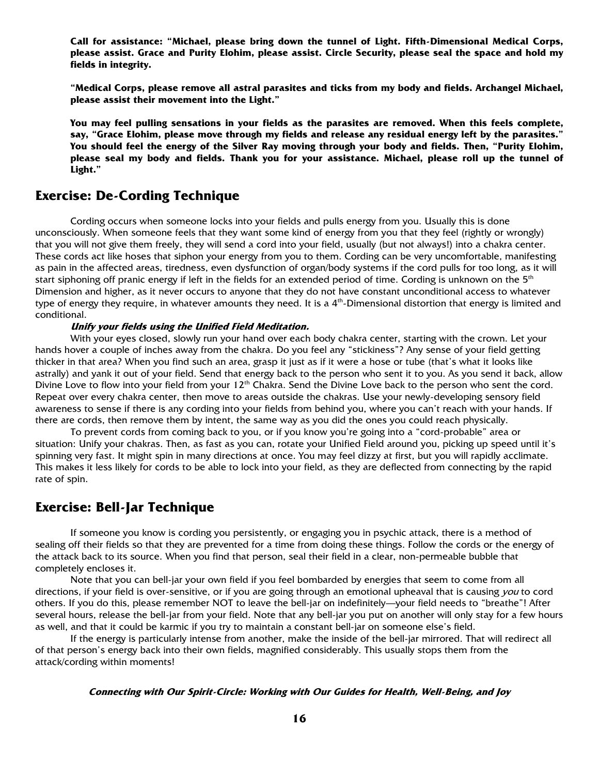**Call for assistance: "Michael, please bring down the tunnel of Light. Fifth-Dimensional Medical Corps, please assist. Grace and Purity Elohim, please assist. Circle Security, please seal the space and hold my fields in integrity.** 

**"Medical Corps, please remove all astral parasites and ticks from my body and fields. Archangel Michael, please assist their movement into the Light."** 

**You may feel pulling sensations in your fields as the parasites are removed. When this feels complete, say, "Grace Elohim, please move through my fields and release any residual energy left by the parasites." You should feel the energy of the Silver Ray moving through your body and fields. Then, "Purity Elohim, please seal my body and fields. Thank you for your assistance. Michael, please roll up the tunnel of Light."** 

# **Exercise: De-Cording Technique**

Cording occurs when someone locks into your fields and pulls energy from you. Usually this is done unconsciously. When someone feels that they want some kind of energy from you that they feel (rightly or wrongly) that you will not give them freely, they will send a cord into your field, usually (but not always!) into a chakra center. These cords act like hoses that siphon your energy from you to them. Cording can be very uncomfortable, manifesting as pain in the affected areas, tiredness, even dysfunction of organ/body systems if the cord pulls for too long, as it will start siphoning off pranic energy if left in the fields for an extended period of time. Cording is unknown on the 5<sup>th</sup> Dimension and higher, as it never occurs to anyone that they do not have constant unconditional access to whatever type of energy they require, in whatever amounts they need. It is a  $4<sup>th</sup>$ -Dimensional distortion that energy is limited and conditional.

#### **Unify your fields using the Unified Field Meditation.**

With your eyes closed, slowly run your hand over each body chakra center, starting with the crown. Let your hands hover a couple of inches away from the chakra. Do you feel any "stickiness"? Any sense of your field getting thicker in that area? When you find such an area, grasp it just as if it were a hose or tube (that's what it looks like astrally) and yank it out of your field. Send that energy back to the person who sent it to you. As you send it back, allow Divine Love to flow into your field from your  $12^{th}$  Chakra. Send the Divine Love back to the person who sent the cord. Repeat over every chakra center, then move to areas outside the chakras. Use your newly-developing sensory field awareness to sense if there is any cording into your fields from behind you, where you can't reach with your hands. If there are cords, then remove them by intent, the same way as you did the ones you could reach physically.

To prevent cords from coming back to you, or if you know you're going into a "cord-probable" area or situation: Unify your chakras. Then, as fast as you can, rotate your Unified Field around you, picking up speed until it's spinning very fast. It might spin in many directions at once. You may feel dizzy at first, but you will rapidly acclimate. This makes it less likely for cords to be able to lock into your field, as they are deflected from connecting by the rapid rate of spin.

## **Exercise: Bell-Jar Technique**

If someone you know is cording you persistently, or engaging you in psychic attack, there is a method of sealing off their fields so that they are prevented for a time from doing these things. Follow the cords or the energy of the attack back to its source. When you find that person, seal their field in a clear, non-permeable bubble that completely encloses it.

Note that you can bell-jar your own field if you feel bombarded by energies that seem to come from all directions, if your field is over-sensitive, or if you are going through an emotional upheaval that is causing you to cord others. If you do this, please remember NOT to leave the bell-jar on indefinitely—your field needs to "breathe"! After several hours, release the bell-jar from your field. Note that any bell-jar you put on another will only stay for a few hours as well, and that it could be karmic if you try to maintain a constant bell-jar on someone else's field.

If the energy is particularly intense from another, make the inside of the bell-jar mirrored. That will redirect all of that person's energy back into their own fields, magnified considerably. This usually stops them from the attack/cording within moments!